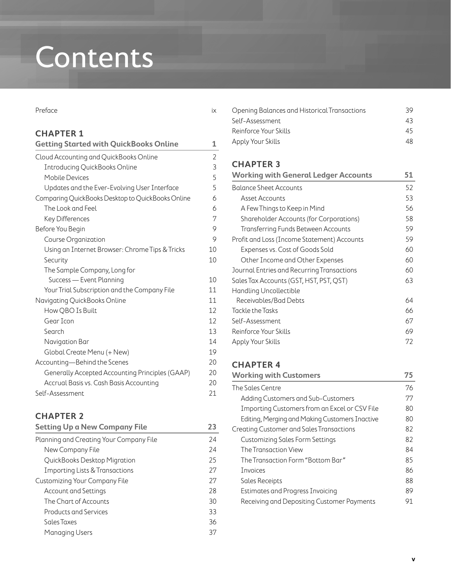# Contents

#### Preface ix a state of the state in the state of the state in the state in the state in the state in the state of the state in the state in the state of the state in the state in the state of the state in the state of the s

#### **CHAPTER 1**

| <b>Getting Started with QuickBooks Online</b>     | 1              |
|---------------------------------------------------|----------------|
| Cloud Accounting and QuickBooks Online            | $\overline{2}$ |
| Introducing QuickBooks Online                     | 3              |
| Mobile Devices                                    | 5              |
| Updates and the Ever-Evolving User Interface      | 5              |
| Comparing QuickBooks Desktop to QuickBooks Online | 6              |
| The Look and Feel                                 | 6              |
| Key Differences                                   | 7              |
| Before You Begin                                  | 9              |
| Course Organization                               | 9              |
| Using an Internet Browser: Chrome Tips & Tricks   | 10             |
| Security                                          | 10             |
| The Sample Company, Long for                      |                |
| Success - Event Planning                          | 10             |
| Your Trial Subscription and the Company File      | 11             |
| Navigating QuickBooks Online                      | 11             |
| How QBO Is Built                                  | 12             |
| Gear Icon                                         | 12             |
| Search                                            | 13             |
| Navigation Bar                                    | 14             |
| Global Create Menu (+ New)                        | 19             |
| Accounting-Behind the Scenes                      | 20             |
| Generally Accepted Accounting Principles (GAAP)   | 20             |
| Accrual Basis vs. Cash Basis Accounting           | 20             |
| Self-Assessment                                   | 21             |

# **CHAPTER 2**

| <b>Setting Up a New Company File</b>      | 23 |
|-------------------------------------------|----|
| Planning and Creating Your Company File   | 24 |
| New Company File                          | 24 |
| QuickBooks Desktop Migration              | 25 |
| <b>Importing Lists &amp; Transactions</b> | 27 |
| <b>Customizing Your Company File</b>      | 27 |
| <b>Account and Settings</b>               | 28 |
| The Chart of Accounts                     | 30 |
| Products and Services                     | 33 |
| Sales Taxes                               | 36 |
| Managing Users                            | 37 |

| 39 |  |
|----|--|
| 43 |  |
| 45 |  |
| 48 |  |
|    |  |

#### **CHAPTER 3**

| <b>Working with General Ledger Accounts</b> | 51 |
|---------------------------------------------|----|
| <b>Balance Sheet Accounts</b>               | 52 |
| Asset Accounts                              | 53 |
| A Few Things to Keep in Mind                | 56 |
| Shareholder Accounts (for Corporations)     | 58 |
| Transferring Funds Between Accounts         | 59 |
| Profit and Loss (Income Statement) Accounts | 59 |
| Expenses vs. Cost of Goods Sold             | 60 |
| Other Income and Other Expenses             | 60 |
| Journal Entries and Recurring Transactions  | 60 |
| Sales Tax Accounts (GST, HST, PST, QST)     | 63 |
| Handling Uncollectible                      |    |
| Receivables/Bad Debts                       | 64 |
| Tackle the Tasks                            | 66 |
| Self-Assessment                             | 67 |
| Reinforce Your Skills                       | 69 |
| Apply Your Skills                           | 72 |

#### **CHAPTER 4**

| <b>Working with Customers</b>                   | 75 |
|-------------------------------------------------|----|
| The Sales Centre                                | 76 |
| Adding Customers and Sub-Customers              | 77 |
| Importing Customers from an Excel or CSV File   | 80 |
| Editing, Merging and Making Customers Inactive  | 80 |
| <b>Creating Customer and Sales Transactions</b> | 82 |
| <b>Customizing Sales Form Settings</b>          | 82 |
| The Transaction View                            | 84 |
| The Transaction Form "Bottom Bar"               | 85 |
| <b>Invoices</b>                                 | 86 |
| Sales Receipts                                  | 88 |
| <b>Estimates and Progress Invoicing</b>         | 89 |
| Receiving and Depositing Customer Payments      | 91 |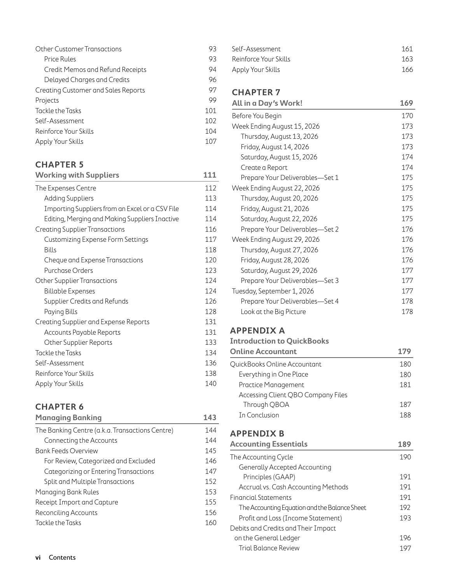| <b>Other Customer Transactions</b>         | 93  |
|--------------------------------------------|-----|
| Price Rules                                | 93  |
| Credit Memos and Refund Receipts           | 94  |
| Delayed Charges and Credits                | 96  |
| <b>Creating Customer and Sales Reports</b> | 97  |
| Projects                                   | 99  |
| Tackle the Tasks                           | 101 |
| Self-Assessment                            | 102 |
| Reinforce Your Skills                      | 104 |
| Apply Your Skills                          | 107 |

## **CHAPTER 5**

| <b>Working with Suppliers</b>                   | 111 |
|-------------------------------------------------|-----|
| The Expenses Centre                             | 112 |
| <b>Adding Suppliers</b>                         | 113 |
| Importing Suppliers from an Excel or a CSV File | 114 |
| Editing, Merging and Making Suppliers Inactive  | 114 |
| <b>Creating Supplier Transactions</b>           | 116 |
| <b>Customizing Expense Form Settings</b>        | 117 |
| <b>Bills</b>                                    | 118 |
| Cheque and Expense Transactions                 | 120 |
| Purchase Orders                                 | 123 |
| <b>Other Supplier Transactions</b>              | 124 |
| <b>Billable Expenses</b>                        | 124 |
| Supplier Credits and Refunds                    | 126 |
| Paying Bills                                    | 128 |
| Creating Supplier and Expense Reports           | 131 |
| <b>Accounts Payable Reports</b>                 | 131 |
| Other Supplier Reports                          | 133 |
| Tackle the Tasks                                | 134 |
| Self-Assessment                                 | 136 |
| Reinforce Your Skills                           | 138 |
| Apply Your Skills                               | 140 |

## **CHAPTER 6**

| <b>Managing Banking</b>                         | 143 |
|-------------------------------------------------|-----|
| The Banking Centre (a.k.a. Transactions Centre) | 144 |
| Connecting the Accounts                         | 144 |
| <b>Bank Feeds Overview</b>                      | 145 |
| For Review, Categorized and Excluded            | 146 |
| Categorizing or Entering Transactions           | 147 |
| <b>Split and Multiple Transactions</b>          | 152 |
| Managing Bank Rules                             | 153 |
| Receipt Import and Capture                      | 155 |
| <b>Reconciling Accounts</b>                     | 156 |
| Tackle the Tasks                                | 160 |

| Self-Assessment       | 161 |
|-----------------------|-----|
| Reinforce Your Skills | 163 |
| Apply Your Skills     | 166 |

#### **CHAPTER 7**

| All in a Day's Work!            | 169 |
|---------------------------------|-----|
| Before You Begin                | 170 |
| Week Ending August 15, 2026     | 173 |
| Thursday, August 13, 2026       | 173 |
| Friday, August 14, 2026         | 173 |
| Saturday, August 15, 2026       | 174 |
| Create a Report                 | 174 |
| Prepare Your Deliverables—Set 1 | 175 |
| Week Ending August 22, 2026     | 175 |
| Thursday, August 20, 2026       | 175 |
| Friday, August 21, 2026         | 175 |
| Saturday, August 22, 2026       | 175 |
| Prepare Your Deliverables-Set 2 | 176 |
| Week Ending August 29, 2026     | 176 |
| Thursday, August 27, 2026       | 176 |
| Friday, August 28, 2026         | 176 |
| Saturday, August 29, 2026       | 177 |
| Prepare Your Deliverables-Set 3 | 177 |
| Tuesday, September 1, 2026      | 177 |
| Prepare Your Deliverables-Set 4 | 178 |
| Look at the Big Picture         | 178 |

#### **APPENDIX A**

#### **Introduction to QuickBooks**

| <b>Online Accountant</b>           |     |
|------------------------------------|-----|
| QuickBooks Online Accountant       | 180 |
| Everything in One Place            | 180 |
| Practice Management                | 181 |
| Accessing Client QBO Company Files |     |
| Through QBOA                       | 187 |
| In Conclusion                      | 188 |

## **APPENDIX B**

| <b>Accounting Essentials</b>                  | 189 |
|-----------------------------------------------|-----|
| The Accounting Cycle                          | 190 |
| <b>Generally Accepted Accounting</b>          |     |
| Principles (GAAP)                             | 191 |
| Accrual vs. Cash Accounting Methods           | 191 |
| <b>Financial Statements</b>                   | 191 |
| The Accounting Equation and the Balance Sheet | 192 |
| Profit and Loss (Income Statement)            | 193 |
| Debits and Credits and Their Impact           |     |
| on the General Ledger                         | 196 |
| Trial Balance Review                          | 197 |